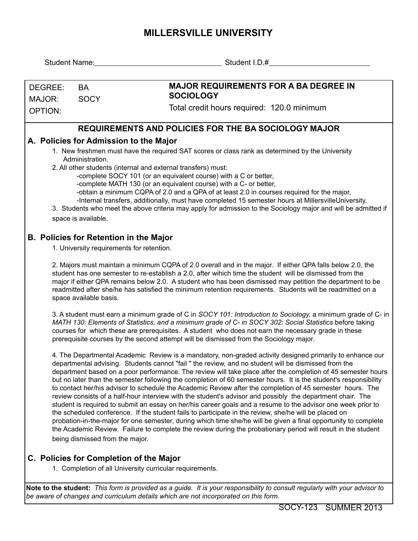## **MILLERSVILLE UNIVERSITY**

| Student Name:  |                                                                                                                                                                                                                                                                                                                                                                                                                                                                             |                                                                                                                                                                                                                                                                                                                                                                                                                                                                                                                                                                                                                                                                                                                                                                                                                                                                                                                                                                                                                                                                                                                                               |  |  |  |  |  |  |  |  |  |
|----------------|-----------------------------------------------------------------------------------------------------------------------------------------------------------------------------------------------------------------------------------------------------------------------------------------------------------------------------------------------------------------------------------------------------------------------------------------------------------------------------|-----------------------------------------------------------------------------------------------------------------------------------------------------------------------------------------------------------------------------------------------------------------------------------------------------------------------------------------------------------------------------------------------------------------------------------------------------------------------------------------------------------------------------------------------------------------------------------------------------------------------------------------------------------------------------------------------------------------------------------------------------------------------------------------------------------------------------------------------------------------------------------------------------------------------------------------------------------------------------------------------------------------------------------------------------------------------------------------------------------------------------------------------|--|--|--|--|--|--|--|--|--|
|                |                                                                                                                                                                                                                                                                                                                                                                                                                                                                             |                                                                                                                                                                                                                                                                                                                                                                                                                                                                                                                                                                                                                                                                                                                                                                                                                                                                                                                                                                                                                                                                                                                                               |  |  |  |  |  |  |  |  |  |
| DEGREE:        | <b>BA</b>                                                                                                                                                                                                                                                                                                                                                                                                                                                                   | <b>MAJOR REQUIREMENTS FOR A BA DEGREE IN</b>                                                                                                                                                                                                                                                                                                                                                                                                                                                                                                                                                                                                                                                                                                                                                                                                                                                                                                                                                                                                                                                                                                  |  |  |  |  |  |  |  |  |  |
| MAJOR:         | <b>SOCY</b>                                                                                                                                                                                                                                                                                                                                                                                                                                                                 | <b>SOCIOLOGY</b>                                                                                                                                                                                                                                                                                                                                                                                                                                                                                                                                                                                                                                                                                                                                                                                                                                                                                                                                                                                                                                                                                                                              |  |  |  |  |  |  |  |  |  |
| <b>OPTION:</b> |                                                                                                                                                                                                                                                                                                                                                                                                                                                                             | Total credit hours required: 120.0 minimum                                                                                                                                                                                                                                                                                                                                                                                                                                                                                                                                                                                                                                                                                                                                                                                                                                                                                                                                                                                                                                                                                                    |  |  |  |  |  |  |  |  |  |
|                |                                                                                                                                                                                                                                                                                                                                                                                                                                                                             | <b>REQUIREMENTS AND POLICIES FOR THE BA SOCIOLOGY MAJOR</b>                                                                                                                                                                                                                                                                                                                                                                                                                                                                                                                                                                                                                                                                                                                                                                                                                                                                                                                                                                                                                                                                                   |  |  |  |  |  |  |  |  |  |
|                |                                                                                                                                                                                                                                                                                                                                                                                                                                                                             | A. Policies for Admission to the Major                                                                                                                                                                                                                                                                                                                                                                                                                                                                                                                                                                                                                                                                                                                                                                                                                                                                                                                                                                                                                                                                                                        |  |  |  |  |  |  |  |  |  |
|                | Administration.                                                                                                                                                                                                                                                                                                                                                                                                                                                             | 1. New freshmen must have the required SAT scores or class rank as determined by the University<br>2. All other students (internal and external transfers) must:                                                                                                                                                                                                                                                                                                                                                                                                                                                                                                                                                                                                                                                                                                                                                                                                                                                                                                                                                                              |  |  |  |  |  |  |  |  |  |
|                | space is available.                                                                                                                                                                                                                                                                                                                                                                                                                                                         | -complete SOCY 101 (or an equivalent course) with a C or better,<br>-complete MATH 130 (or an equivalent course) with a C- or better,<br>-obtain a minimum CQPA of 2.0 and a QPA of at least 2.0 in courses required for the major,<br>-Internal transfers, additionally, must have completed 15 semester hours at MillersvilleUniversity.<br>3. Students who meet the above criteria may apply for admission to the Sociology major and will be admitted if                                                                                                                                                                                                                                                                                                                                                                                                                                                                                                                                                                                                                                                                                  |  |  |  |  |  |  |  |  |  |
|                | <b>B. Policies for Retention in the Major</b>                                                                                                                                                                                                                                                                                                                                                                                                                               |                                                                                                                                                                                                                                                                                                                                                                                                                                                                                                                                                                                                                                                                                                                                                                                                                                                                                                                                                                                                                                                                                                                                               |  |  |  |  |  |  |  |  |  |
|                | 1. University requirements for retention.                                                                                                                                                                                                                                                                                                                                                                                                                                   |                                                                                                                                                                                                                                                                                                                                                                                                                                                                                                                                                                                                                                                                                                                                                                                                                                                                                                                                                                                                                                                                                                                                               |  |  |  |  |  |  |  |  |  |
|                | 2. Majors must maintain a minimum CQPA of 2.0 overall and in the major. If either QPA falls below 2.0, the<br>student has one semester to re-establish a 2.0, after wihich time the student will be dismissed from the<br>major if either QPA remains below 2.0. A student who has been dismissed may petition the department to be<br>readmitted after she/he has satisfied the minimum retention requirements. Students will be readmitted on a<br>space available basis. |                                                                                                                                                                                                                                                                                                                                                                                                                                                                                                                                                                                                                                                                                                                                                                                                                                                                                                                                                                                                                                                                                                                                               |  |  |  |  |  |  |  |  |  |
|                | 3. A student must earn a minimum grade of C in SOCY 101: Introduction to Sociology, a minimum grade of C- in<br>MATH 130: Elements of Statistics, and a minimum grade of C- in SOCY 302: Social Statistics before taking<br>courses for which these are prerequisites. A student who does not earn the necessary grade in these<br>prerequisite courses by the second attempt will be dismissed from the Sociology major.                                                   |                                                                                                                                                                                                                                                                                                                                                                                                                                                                                                                                                                                                                                                                                                                                                                                                                                                                                                                                                                                                                                                                                                                                               |  |  |  |  |  |  |  |  |  |
|                | being dismissed from the major.                                                                                                                                                                                                                                                                                                                                                                                                                                             | 4. The Departmental Academic Review is a mandatory, non-graded activity designed primarily to enhance our<br>departmental advising. Students cannot "fail " the review, and no student will be dismissed from the<br>department based on a poor performance. The review will take place after the completion of 45 semester hours<br>but no later than the semester following the completion of 60 semester hours. It is the student's responsibility<br>to contact her/his advisor to schedule the Academic Review after the completion of 45 semester hours. The<br>review consists of a half-hour interview with the student's advisor and possibly the department chair. The<br>student is required to submit an essay on her/his career goals and a resume to the advisor one week prior to<br>the scheduled conference. If the student fails to participate in the review, she/he will be placed on<br>probation-in-the-major for one semester, during which time she/he will be given a final opportunity to complete<br>the Academic Review. Failure to complete the review during the probationary period will result in the student |  |  |  |  |  |  |  |  |  |
|                |                                                                                                                                                                                                                                                                                                                                                                                                                                                                             | C. Policies for Completion of the Major<br>1. Completion of all University curricular requirements.                                                                                                                                                                                                                                                                                                                                                                                                                                                                                                                                                                                                                                                                                                                                                                                                                                                                                                                                                                                                                                           |  |  |  |  |  |  |  |  |  |
|                |                                                                                                                                                                                                                                                                                                                                                                                                                                                                             | Note to the student: This form is provided as a guide. It is your responsibility to consult regularly with your advisor to<br>be aware of changes and curriculum details which are not incorporated on this form.                                                                                                                                                                                                                                                                                                                                                                                                                                                                                                                                                                                                                                                                                                                                                                                                                                                                                                                             |  |  |  |  |  |  |  |  |  |